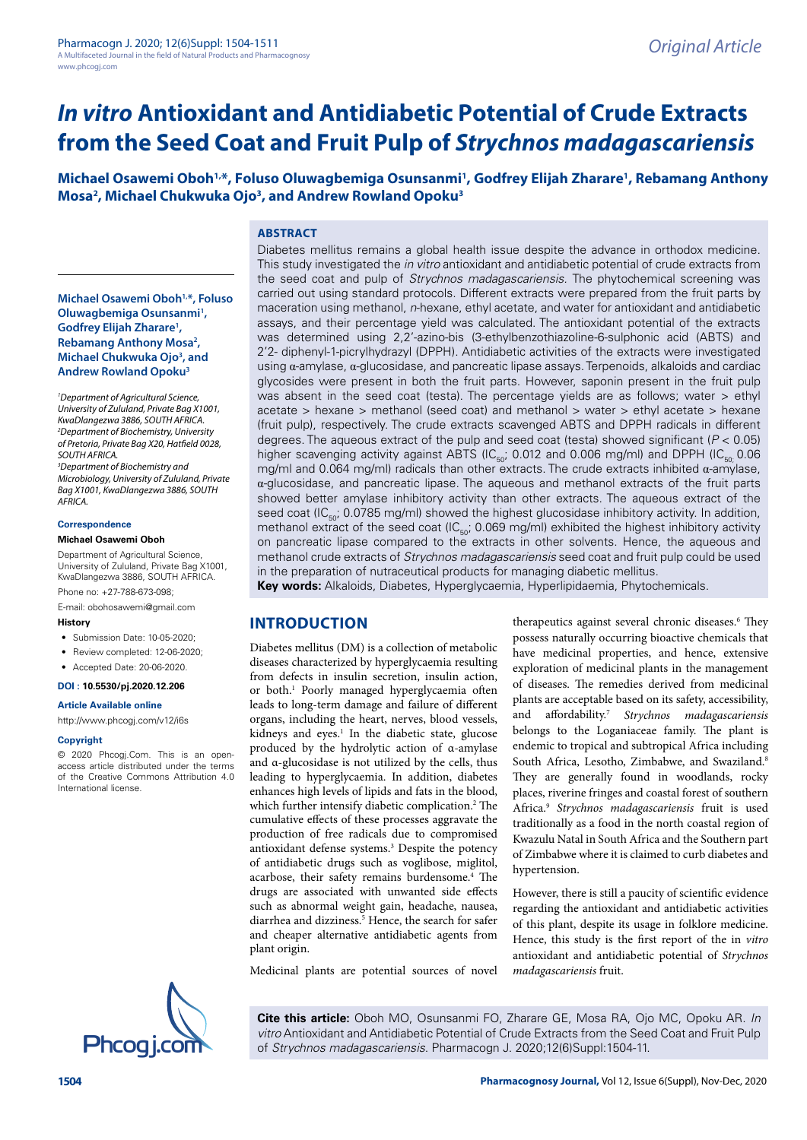# *In vitro* **Antioxidant and Antidiabetic Potential of Crude Extracts from the Seed Coat and Fruit Pulp of** *Strychnos madagascariensis*

**Michael Osawemi Oboh1,\*, Foluso Oluwagbemiga Osunsanmi1 , Godfrey Elijah Zharare1 , Rebamang Anthony Mosa<sup>2</sup>, Michael Chukwuka Ojo<sup>3</sup>, and Andrew Rowland Opoku<sup>3</sup>** 

#### **ABSTRACT**

**Michael Osawemi Oboh1,\*, Foluso Oluwagbemiga Osunsanmi1 , Godfrey Elijah Zharare1 , Rebamang Anthony Mosa2 , Michael Chukwuka Ojo<sup>3</sup>, and Andrew Rowland Opoku3**

*1 Department of Agricultural Science, University of Zululand, Private Bag X1001, KwaDlangezwa 3886, SOUTH AFRICA. 2 Department of Biochemistry, University of Pretoria, Private Bag X20, Hatfield 0028, SOUTH AFRICA. 3 Department of Biochemistry and Microbiology, University of Zululand, Private Bag X1001, KwaDlangezwa 3886, SOUTH AFRICA.*

#### **Correspondence**

#### **Michael Osawemi Oboh**

Department of Agricultural Science, University of Zululand, Private Bag X1001, KwaDlangezwa 3886, SOUTH AFRICA. Phone no: +27-788-673-098;

E-mail: [obohosawemi@gmail.com](mailto:obohosawemi@gmail.com)

**History**

- Submission Date: 10-05-2020;
- 
- Review completed: 12-06-2020; • Accepted Date: 20-06-2020.
- **DOI : 10.5530/pj.2020.12.206**

# **Article Available online**

<http://www.phcogj.com/v12/i6s>

#### **Copyright**

© 2020 Phcogj.Com. This is an openaccess article distributed under the terms of the Creative Commons Attribution 4.0 International license.



**Key words:** Alkaloids, Diabetes, Hyperglycaemia, Hyperlipidaemia, Phytochemicals.

## **INTRODUCTION**

Diabetes mellitus (DM) is a collection of metabolic diseases characterized by hyperglycaemia resulting from defects in insulin secretion, insulin action, or both.<sup>1</sup> Poorly managed hyperglycaemia often leads to long-term damage and failure of different organs, including the heart, nerves, blood vessels, kidneys and eyes.<sup>1</sup> In the diabetic state, glucose produced by the hydrolytic action of α-amylase and α-glucosidase is not utilized by the cells, thus leading to hyperglycaemia. In addition, diabetes enhances high levels of lipids and fats in the blood, which further intensify diabetic complication.<sup>2</sup> The cumulative effects of these processes aggravate the production of free radicals due to compromised antioxidant defense systems.<sup>3</sup> Despite the potency of antidiabetic drugs such as voglibose, miglitol, acarbose, their safety remains burdensome.<sup>4</sup> The drugs are associated with unwanted side effects such as abnormal weight gain, headache, nausea, diarrhea and dizziness.<sup>5</sup> Hence, the search for safer and cheaper alternative antidiabetic agents from plant origin.

therapeutics against several chronic diseases.<sup>6</sup> They possess naturally occurring bioactive chemicals that have medicinal properties, and hence, extensive exploration of medicinal plants in the management of diseases. The remedies derived from medicinal plants are acceptable based on its safety, accessibility, and affordability.7 *Strychnos madagascariensis* belongs to the Loganiaceae family. The plant is endemic to tropical and subtropical Africa including South Africa, Lesotho, Zimbabwe, and Swaziland.<sup>8</sup> They are generally found in woodlands, rocky places, riverine fringes and coastal forest of southern Africa.9 *Strychnos madagascariensis* fruit is used traditionally as a food in the north coastal region of Kwazulu Natal in South Africa and the Southern part of Zimbabwe where it is claimed to curb diabetes and hypertension.

However, there is still a paucity of scientific evidence regarding the antioxidant and antidiabetic activities of this plant, despite its usage in folklore medicine. Hence, this study is the first report of the in *vitro*  antioxidant and antidiabetic potential of *Strychnos madagascariensis* fruit.

Medicinal plants are potential sources of novel

**Cite this article:** Oboh MO, Osunsanmi FO, Zharare GE, Mosa RA, Ojo MC, Opoku AR. *In vitro* Antioxidant and Antidiabetic Potential of Crude Extracts from the Seed Coat and Fruit Pulp of *Strychnos madagascariensis*. Pharmacogn J. 2020;12(6)Suppl:1504-11.

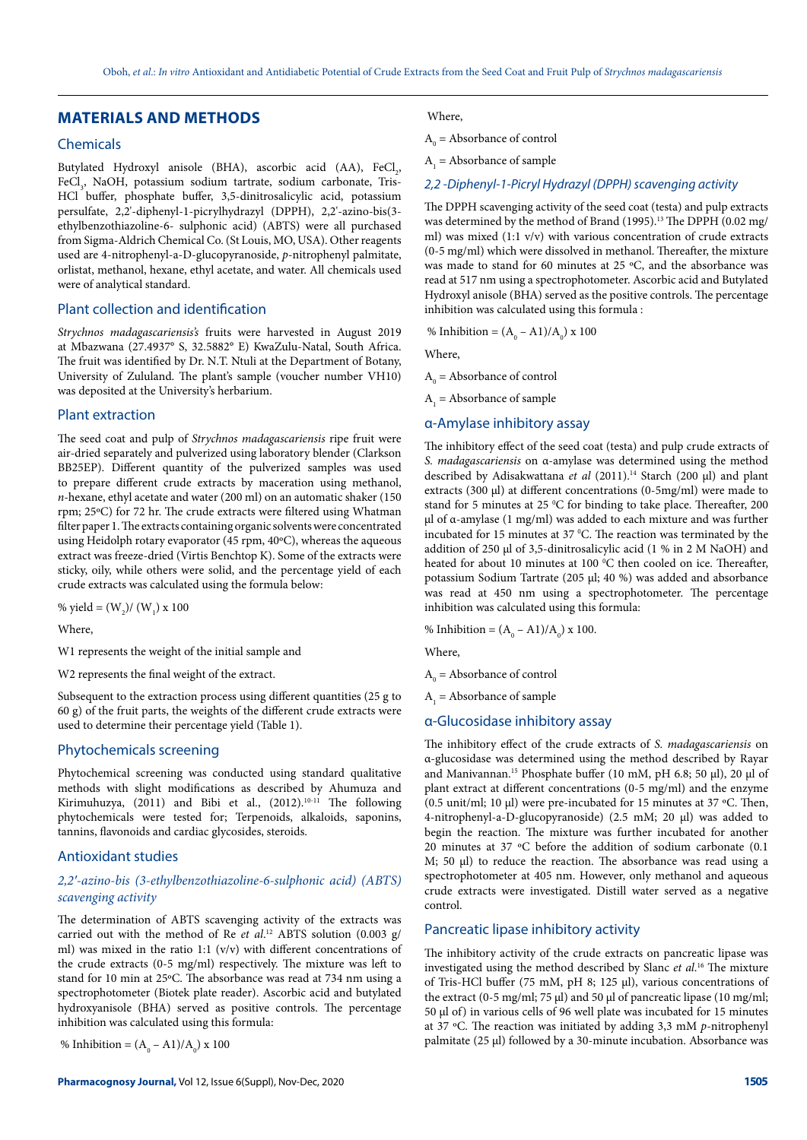# **MATERIALS AND METHODS**

## Chemicals

Butylated Hydroxyl anisole (BHA), ascorbic acid (AA), FeCl<sub>2</sub>, FeCl<sub>3</sub>, NaOH, potassium sodium tartrate, sodium carbonate, Tris-HCl buffer, phosphate buffer, 3,5-dinitrosalicylic acid, potassium persulfate, 2,2'-diphenyl-1-picrylhydrazyl (DPPH), 2,2'-azino-bis(3 ethylbenzothiazoline-6- sulphonic acid) (ABTS) were all purchased from Sigma-Aldrich Chemical Co. (St Louis, MO, USA). Other reagents used are 4-nitrophenyl-a-D-glucopyranoside, *p*-nitrophenyl palmitate, orlistat, methanol, hexane, ethyl acetate, and water. All chemicals used were of analytical standard.

#### Plant collection and identification

*Strychnos madagascariensis's* fruits were harvested in August 2019 at Mbazwana (27.4937° S, 32.5882° E) KwaZulu-Natal, South Africa. The fruit was identified by Dr. N.T. Ntuli at the Department of Botany, University of Zululand. The plant's sample (voucher number VH10) was deposited at the University's herbarium.

#### Plant extraction

The seed coat and pulp of *Strychnos madagascariensis* ripe fruit were air-dried separately and pulverized using laboratory blender (Clarkson BB25EP). Different quantity of the pulverized samples was used to prepare different crude extracts by maceration using methanol, *n*-hexane, ethyl acetate and water (200 ml) on an automatic shaker (150 rpm; 25ºC) for 72 hr. The crude extracts were filtered using Whatman filter paper 1. The extracts containing organic solvents were concentrated using Heidolph rotary evaporator (45 rpm,  $40^{\circ}$ C), whereas the aqueous extract was freeze-dried (Virtis Benchtop K). Some of the extracts were sticky, oily, while others were solid, and the percentage yield of each crude extracts was calculated using the formula below:

% yield =  $(W_2)/(W_1) \times 100$ 

Where,

W1 represents the weight of the initial sample and

W2 represents the final weight of the extract.

Subsequent to the extraction process using different quantities (25 g to 60 g) of the fruit parts, the weights of the different crude extracts were used to determine their percentage yield (Table 1).

#### Phytochemicals screening

Phytochemical screening was conducted using standard qualitative methods with slight modifications as described by Ahumuza and Kirimuhuzya, (2011) and Bibi et al., (2012).<sup>10-11</sup> The following phytochemicals were tested for; Terpenoids, alkaloids, saponins, tannins, flavonoids and cardiac glycosides, steroids.

#### Antioxidant studies

#### *2,2′-azino-bis (3-ethylbenzothiazoline-6-sulphonic acid) (ABTS) scavenging activity*

The determination of ABTS scavenging activity of the extracts was carried out with the method of Re *et al*. 12 ABTS solution (0.003 g/ ml) was mixed in the ratio 1:1 (v/v) with different concentrations of the crude extracts (0-5 mg/ml) respectively. The mixture was left to stand for 10 min at 25ºC. The absorbance was read at 734 nm using a spectrophotometer (Biotek plate reader). Ascorbic acid and butylated hydroxyanisole (BHA) served as positive controls. The percentage inhibition was calculated using this formula:

% Inhibition =  $(A_0 - A1)/A_0$ ) x 100

#### Where,

 $A_0$  = Absorbance of control

 $A_1$  = Absorbance of sample

#### *2,2 -Diphenyl-1-Picryl Hydrazyl (DPPH) scavenging activity*

The DPPH scavenging activity of the seed coat (testa) and pulp extracts was determined by the method of Brand (1995).<sup>13</sup> The DPPH (0.02 mg/ ml) was mixed (1:1 v/v) with various concentration of crude extracts (0-5 mg/ml) which were dissolved in methanol. Thereafter, the mixture was made to stand for 60 minutes at 25 ºC, and the absorbance was read at 517 nm using a spectrophotometer. Ascorbic acid and Butylated Hydroxyl anisole (BHA) served as the positive controls. The percentage inhibition was calculated using this formula :

% Inhibition =  $(A_0 - A1)/A_0$ ) x 100

Where,

 $A_0$  = Absorbance of control

 $A_1$  = Absorbance of sample

# α-Amylase inhibitory assay

The inhibitory effect of the seed coat (testa) and pulp crude extracts of *S. madagascariensis* on α-amylase was determined using the method described by Adisakwattana et al (2011).<sup>14</sup> Starch (200 µl) and plant extracts (300  $\mu$ l) at different concentrations (0-5mg/ml) were made to stand for 5 minutes at 25 °C for binding to take place. Thereafter, 200 µl of α-amylase (1 mg/ml) was added to each mixture and was further incubated for 15 minutes at 37  $^{\circ}$ C. The reaction was terminated by the addition of 250 µl of 3,5-dinitrosalicylic acid (1 % in 2 M NaOH) and heated for about 10 minutes at 100 °C then cooled on ice. Thereafter, potassium Sodium Tartrate (205 µl; 40 %) was added and absorbance was read at 450 nm using a spectrophotometer. The percentage inhibition was calculated using this formula:

% Inhibition =  $(A_0 - A1)/A_0$ ) x 100.

Where,

 $A_0$  = Absorbance of control

 $A_1$  = Absorbance of sample

#### α-Glucosidase inhibitory assay

The inhibitory effect of the crude extracts of *S. madagascariensis* on α-glucosidase was determined using the method described by Rayar and Manivannan.<sup>15</sup> Phosphate buffer (10 mM, pH 6.8; 50 µl), 20 µl of plant extract at different concentrations (0-5 mg/ml) and the enzyme (0.5 unit/ml; 10 µl) were pre-incubated for 15 minutes at 37 ºC. Then, 4-nitrophenyl-a-D-glucopyranoside) (2.5 mM; 20 μl) was added to begin the reaction. The mixture was further incubated for another 20 minutes at 37 ºC before the addition of sodium carbonate (0.1 M; 50 μl) to reduce the reaction. The absorbance was read using a spectrophotometer at 405 nm. However, only methanol and aqueous crude extracts were investigated. Distill water served as a negative control.

#### Pancreatic lipase inhibitory activity

The inhibitory activity of the crude extracts on pancreatic lipase was investigated using the method described by Slanc *et al*. 16 The mixture of Tris-HCl buffer (75 mM, pH 8; 125 μl), various concentrations of the extract (0-5 mg/ml; 75 μl) and 50 μl of pancreatic lipase (10 mg/ml; 50 μl of) in various cells of 96 well plate was incubated for 15 minutes at 37 ºC. The reaction was initiated by adding 3,3 mM *p*-nitrophenyl palmitate (25 μl) followed by a 30-minute incubation. Absorbance was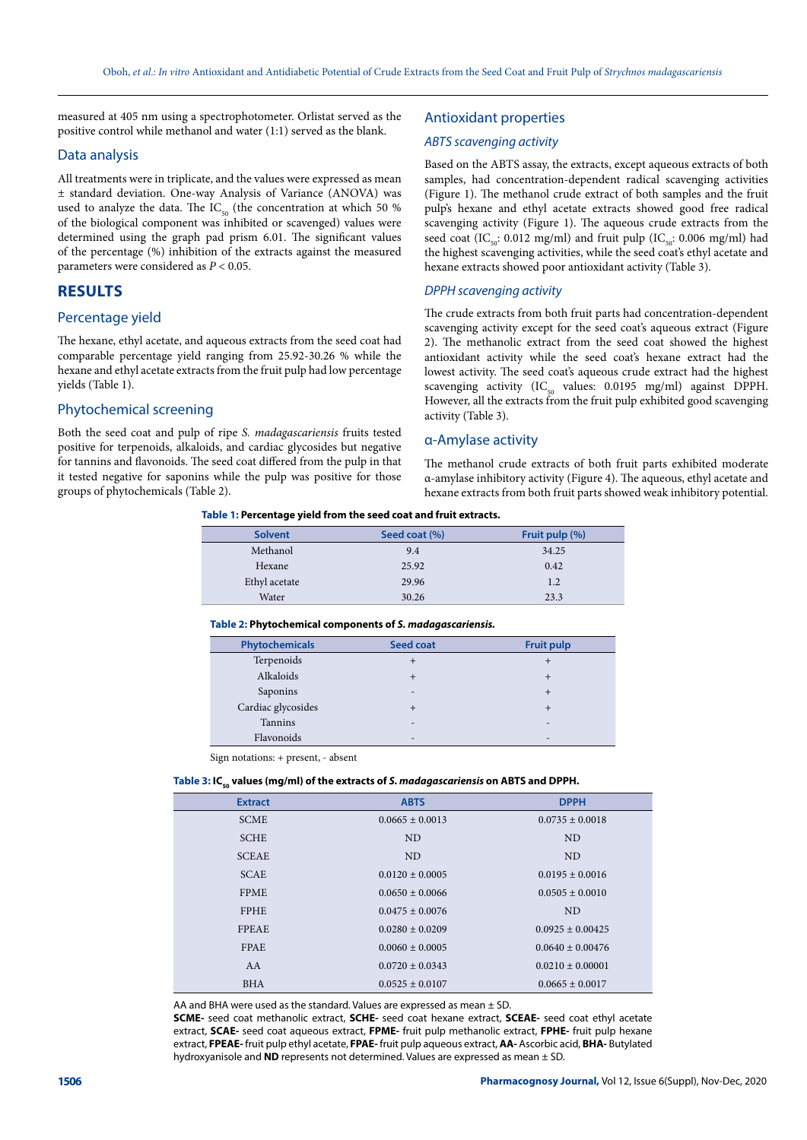measured at 405 nm using a spectrophotometer. Orlistat served as the positive control while methanol and water (1:1) served as the blank.

#### Data analysis

All treatments were in triplicate, and the values were expressed as mean ± standard deviation. One-way Analysis of Variance (ANOVA) was used to analyze the data. The  $IC_{50}$  (the concentration at which 50 % of the biological component was inhibited or scavenged) values were determined using the graph pad prism 6.01. The significant values of the percentage (%) inhibition of the extracts against the measured parameters were considered as *P* < 0.05.

# **RESULTS**

## Percentage yield

The hexane, ethyl acetate, and aqueous extracts from the seed coat had comparable percentage yield ranging from 25.92-30.26 % while the hexane and ethyl acetate extracts from the fruit pulp had low percentage yields (Table 1).

## Phytochemical screening

Both the seed coat and pulp of ripe *S. madagascariensis* fruits tested positive for terpenoids, alkaloids, and cardiac glycosides but negative for tannins and flavonoids. The seed coat differed from the pulp in that it tested negative for saponins while the pulp was positive for those groups of phytochemicals (Table 2).

## Antioxidant properties

## *ABTS scavenging activity*

Based on the ABTS assay, the extracts, except aqueous extracts of both samples, had concentration-dependent radical scavenging activities (Figure 1). The methanol crude extract of both samples and the fruit pulp's hexane and ethyl acetate extracts showed good free radical scavenging activity (Figure 1). The aqueous crude extracts from the seed coat (IC<sub>50</sub>: 0.012 mg/ml) and fruit pulp (IC<sub>50</sub>: 0.006 mg/ml) had the highest scavenging activities, while the seed coat's ethyl acetate and hexane extracts showed poor antioxidant activity (Table 3).

#### *DPPH scavenging activity*

The crude extracts from both fruit parts had concentration-dependent scavenging activity except for the seed coat's aqueous extract (Figure 2). The methanolic extract from the seed coat showed the highest antioxidant activity while the seed coat's hexane extract had the lowest activity. The seed coat's aqueous crude extract had the highest scavenging activity (IC $_{50}$  values: 0.0195 mg/ml) against DPPH. However, all the extracts from the fruit pulp exhibited good scavenging activity (Table 3).

## α-Amylase activity

The methanol crude extracts of both fruit parts exhibited moderate α-amylase inhibitory activity (Figure 4). The aqueous, ethyl acetate and hexane extracts from both fruit parts showed weak inhibitory potential.

#### **Table 1: Percentage yield from the seed coat and fruit extracts.**

| <b>Solvent</b> | Seed coat (%) | Fruit pulp (%) |
|----------------|---------------|----------------|
| Methanol       | 9.4           | 34.25          |
| Hexane         | 25.92         | 0.42           |
| Ethyl acetate  | 29.96         | 1.2            |
| Water          | 30.26         | 23.3           |

#### **Table 2: Phytochemical components of** *S. madagascariensis.*

| <b>Phytochemicals</b> | Seed coat                | <b>Fruit pulp</b>        |
|-----------------------|--------------------------|--------------------------|
| Terpenoids            |                          |                          |
| Alkaloids             |                          | $^{\mathrm{+}}$          |
| Saponins              | $\overline{\phantom{0}}$ | $\pm$                    |
| Cardiac glycosides    |                          | $\pm$                    |
| <b>Tannins</b>        | $\overline{\phantom{0}}$ | $\overline{\phantom{0}}$ |
| Flavonoids            | $\overline{\phantom{0}}$ | $\overline{\phantom{0}}$ |

Sign notations: + present, - absent

#### Table 3: IC<sub>50</sub> values (mg/ml) of the extracts of *S. madagascariensis* on ABTS and DPPH.

| <b>Extract</b> | <b>ABTS</b>         | <b>DPPH</b>          |
|----------------|---------------------|----------------------|
| <b>SCME</b>    | $0.0665 + 0.0013$   | $0.0735 \pm 0.0018$  |
| <b>SCHE</b>    | <b>ND</b>           | <b>ND</b>            |
| <b>SCEAE</b>   | <b>ND</b>           | <b>ND</b>            |
| <b>SCAE</b>    | $0.0120 \pm 0.0005$ | $0.0195 \pm 0.0016$  |
| <b>FPME</b>    | $0.0650 + 0.0066$   | $0.0505 + 0.0010$    |
| <b>FPHE</b>    | $0.0475 + 0.0076$   | <b>ND</b>            |
| <b>FPEAE</b>   | $0.0280 + 0.0209$   | $0.0925 + 0.00425$   |
| <b>FPAE</b>    | $0.0060 + 0.0005$   | $0.0640 + 0.00476$   |
| AA             | $0.0720 + 0.0343$   | $0.0210 \pm 0.00001$ |
| <b>BHA</b>     | $0.0525 + 0.0107$   | $0.0665 + 0.0017$    |

AA and BHA were used as the standard. Values are expressed as mean  $\pm$  SD.

**SCME-** seed coat methanolic extract, **SCHE-** seed coat hexane extract, **SCEAE-** seed coat ethyl acetate extract, **SCAE-** seed coat aqueous extract, **FPME-** fruit pulp methanolic extract, **FPHE-** fruit pulp hexane extract, **FPEAE-** fruit pulp ethyl acetate, **FPAE-** fruit pulp aqueous extract, **AA-** Ascorbic acid, **BHA-** Butylated hydroxyanisole and **ND** represents not determined. Values are expressed as mean ± SD.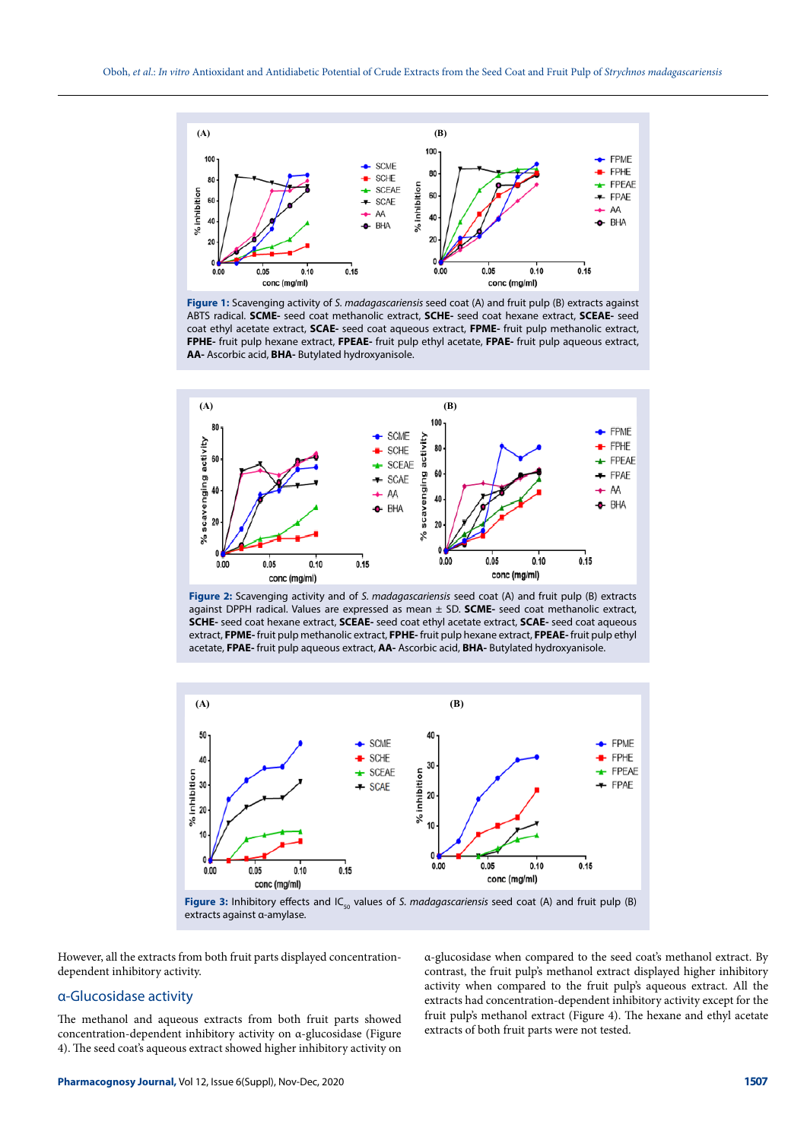

**Figure 1:** Scavenging activity of *S. madagascariensis* seed coat (A) and fruit pulp (B) extracts against ABTS radical. **SCME-** seed coat methanolic extract, **SCHE-** seed coat hexane extract, **SCEAE-** seed coat ethyl acetate extract, **SCAE-** seed coat aqueous extract, **FPME-** fruit pulp methanolic extract, **FPHE-** fruit pulp hexane extract, **FPEAE-** fruit pulp ethyl acetate, **FPAE-** fruit pulp aqueous extract, **AA-** Ascorbic acid, **BHA-** Butylated hydroxyanisole.



**Figure 2:** Scavenging activity and of *S. madagascariensis* seed coat (A) and fruit pulp (B) extracts against DPPH radical. Values are expressed as mean ± SD. **SCME-** seed coat methanolic extract, **SCHE-** seed coat hexane extract, **SCEAE-** seed coat ethyl acetate extract, **SCAE-** seed coat aqueous extract, **FPME-** fruit pulp methanolic extract, **FPHE-** fruit pulp hexane extract, **FPEAE-** fruit pulp ethyl acetate, **FPAE-** fruit pulp aqueous extract, **AA-** Ascorbic acid, **BHA-** Butylated hydroxyanisole.



extracts against α-amylase.

However, all the extracts from both fruit parts displayed concentrationdependent inhibitory activity.

#### α-Glucosidase activity

The methanol and aqueous extracts from both fruit parts showed concentration-dependent inhibitory activity on α-glucosidase (Figure 4). The seed coat's aqueous extract showed higher inhibitory activity on

α-glucosidase when compared to the seed coat's methanol extract. By contrast, the fruit pulp's methanol extract displayed higher inhibitory activity when compared to the fruit pulp's aqueous extract. All the extracts had concentration-dependent inhibitory activity except for the fruit pulp's methanol extract (Figure 4). The hexane and ethyl acetate extracts of both fruit parts were not tested.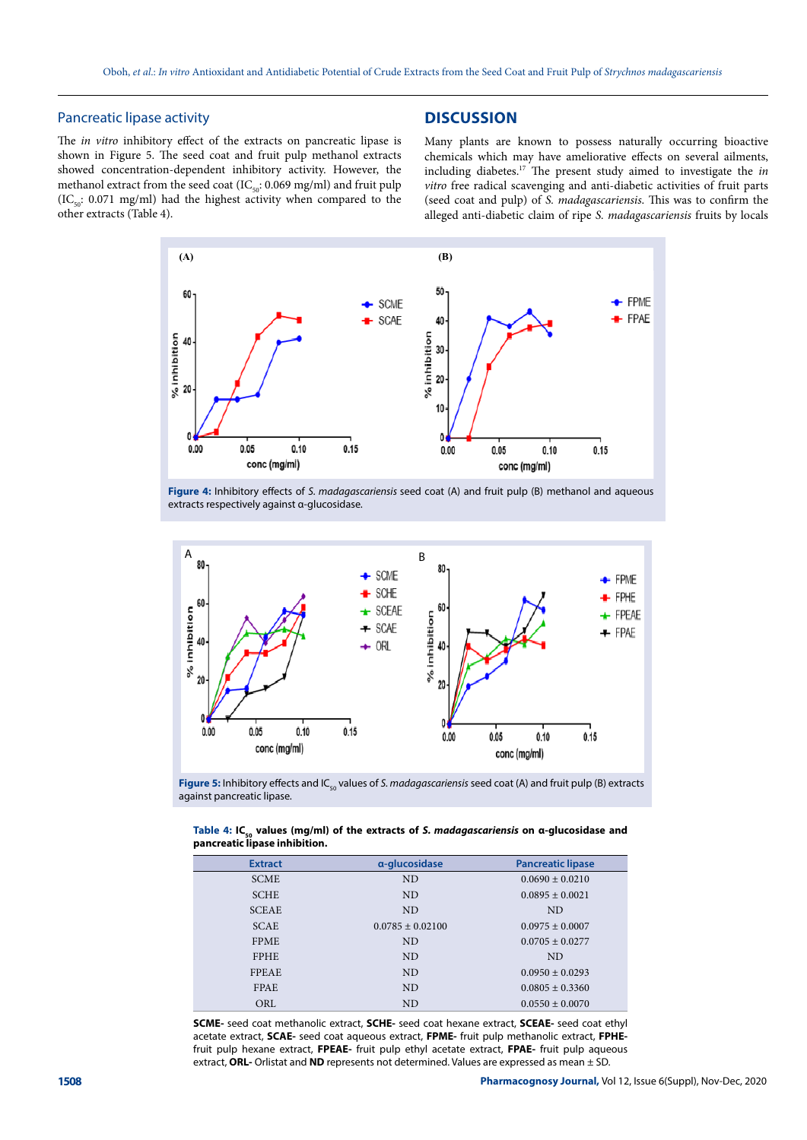## Pancreatic lipase activity

The *in vitro* inhibitory effect of the extracts on pancreatic lipase is shown in Figure 5. The seed coat and fruit pulp methanol extracts showed concentration-dependent inhibitory activity. However, the methanol extract from the seed coat (IC $_{50}$ : 0.069 mg/ml) and fruit pulp (IC<sub>50</sub>: 0.071 mg/ml) had the highest activity when compared to the other extracts (Table 4).

## **DISCUSSION**

Many plants are known to possess naturally occurring bioactive chemicals which may have ameliorative effects on several ailments, including diabetes.17 The present study aimed to investigate the *in vitro* free radical scavenging and anti-diabetic activities of fruit parts (seed coat and pulp) of *S. madagascariensis*. This was to confirm the alleged anti-diabetic claim of ripe *S. madagascariensis* fruits by locals



**Figure 4:** Inhibitory effects of *S. madagascariensis* seed coat (A) and fruit pulp (B) methanol and aqueous extracts respectively against α-glucosidase.



Figure 5: Inhibitory effects and IC<sub>50</sub> values of *S. madagascariensis* seed coat (A) and fruit pulp (B) extracts against pancreatic lipase.

| Table 4: IC <sub>co</sub> values (mg/ml) of the extracts of S. madagascariensis on a-glucosidase and |  |  |
|------------------------------------------------------------------------------------------------------|--|--|
| pancreatic lipase inhibition.                                                                        |  |  |

| <b>Extract</b> | a-glucosidase        | <b>Pancreatic lipase</b> |
|----------------|----------------------|--------------------------|
|                |                      |                          |
| <b>SCME</b>    | <b>ND</b>            | $0.0690 \pm 0.0210$      |
| <b>SCHE</b>    | <b>ND</b>            | $0.0895 + 0.0021$        |
| <b>SCEAE</b>   | <b>ND</b>            | ND.                      |
| <b>SCAE</b>    | $0.0785 \pm 0.02100$ | $0.0975 \pm 0.0007$      |
| <b>FPME</b>    | <b>ND</b>            | $0.0705 \pm 0.0277$      |
| <b>FPHE</b>    | <b>ND</b>            | ND.                      |
| <b>FPEAE</b>   | <b>ND</b>            | $0.0950 + 0.0293$        |
| <b>FPAE</b>    | <b>ND</b>            | $0.0805 + 0.3360$        |
| ORL            | <b>ND</b>            | $0.0550 + 0.0070$        |

**SCME-** seed coat methanolic extract, **SCHE-** seed coat hexane extract, **SCEAE-** seed coat ethyl acetate extract, **SCAE-** seed coat aqueous extract, **FPME-** fruit pulp methanolic extract, **FPHE**fruit pulp hexane extract, **FPEAE-** fruit pulp ethyl acetate extract, **FPAE-** fruit pulp aqueous extract, **ORL-** Orlistat and **ND** represents not determined. Values are expressed as mean ± SD.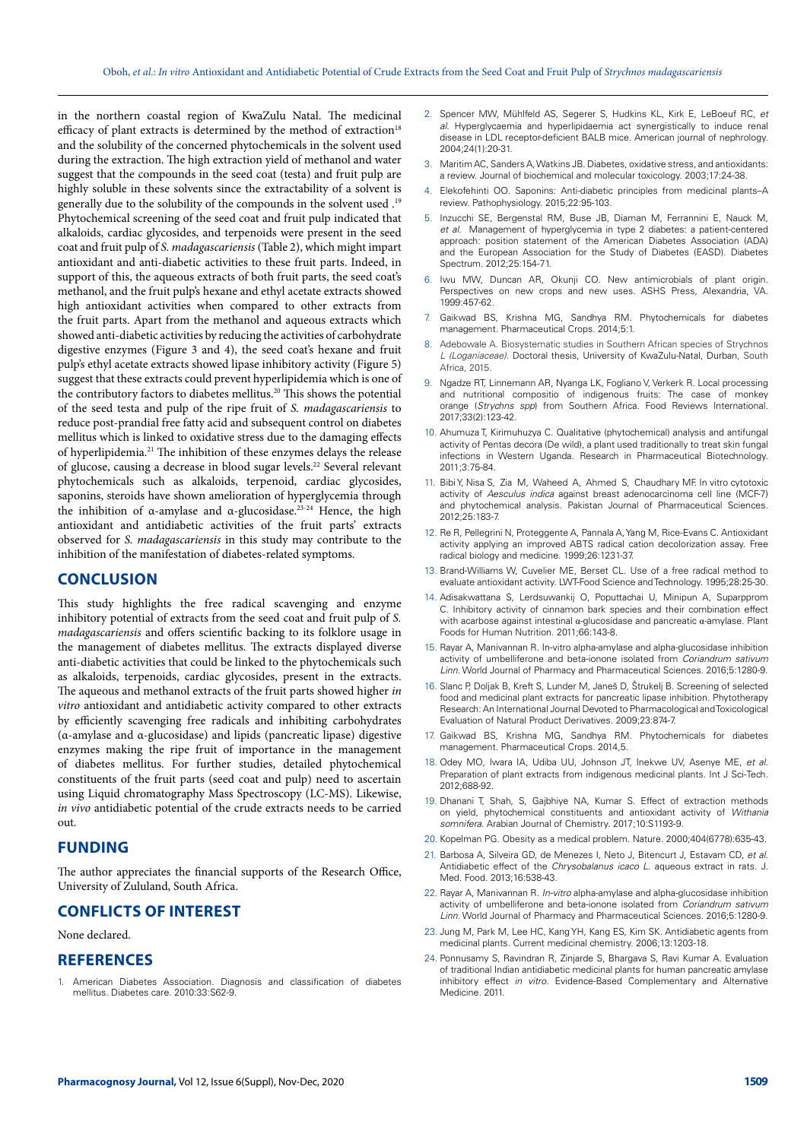in the northern coastal region of KwaZulu Natal. The medicinal efficacy of plant extracts is determined by the method of extraction<sup>18</sup> and the solubility of the concerned phytochemicals in the solvent used during the extraction. The high extraction yield of methanol and water suggest that the compounds in the seed coat (testa) and fruit pulp are highly soluble in these solvents since the extractability of a solvent is generally due to the solubility of the compounds in the solvent used .19 Phytochemical screening of the seed coat and fruit pulp indicated that alkaloids, cardiac glycosides, and terpenoids were present in the seed coat and fruit pulp of *S. madagascariensis* (Table 2), which might impart antioxidant and anti-diabetic activities to these fruit parts. Indeed, in support of this, the aqueous extracts of both fruit parts, the seed coat's methanol, and the fruit pulp's hexane and ethyl acetate extracts showed high antioxidant activities when compared to other extracts from the fruit parts. Apart from the methanol and aqueous extracts which showed anti-diabetic activities by reducing the activities of carbohydrate digestive enzymes (Figure 3 and 4), the seed coat's hexane and fruit pulp's ethyl acetate extracts showed lipase inhibitory activity (Figure 5) suggest that these extracts could prevent hyperlipidemia which is one of the contributory factors to diabetes mellitus.20 This shows the potential of the seed testa and pulp of the ripe fruit of *S. madagascariensis* to reduce post-prandial free fatty acid and subsequent control on diabetes mellitus which is linked to oxidative stress due to the damaging effects of hyperlipidemia.21 The inhibition of these enzymes delays the release of glucose, causing a decrease in blood sugar levels.<sup>22</sup> Several relevant phytochemicals such as alkaloids, terpenoid, cardiac glycosides, saponins, steroids have shown amelioration of hyperglycemia through the inhibition of α-amylase and α-glucosidase.23-24 Hence, the high antioxidant and antidiabetic activities of the fruit parts' extracts observed for *S. madagascariensis* in this study may contribute to the inhibition of the manifestation of diabetes-related symptoms.

## **CONCLUSION**

This study highlights the free radical scavenging and enzyme inhibitory potential of extracts from the seed coat and fruit pulp of *S. madagascariensis* and offers scientific backing to its folklore usage in the management of diabetes mellitus. The extracts displayed diverse anti-diabetic activities that could be linked to the phytochemicals such as alkaloids, terpenoids, cardiac glycosides, present in the extracts. The aqueous and methanol extracts of the fruit parts showed higher *in vitro* antioxidant and antidiabetic activity compared to other extracts by efficiently scavenging free radicals and inhibiting carbohydrates (α-amylase and α-glucosidase) and lipids (pancreatic lipase) digestive enzymes making the ripe fruit of importance in the management of diabetes mellitus. For further studies, detailed phytochemical constituents of the fruit parts (seed coat and pulp) need to ascertain using Liquid chromatography Mass Spectroscopy (LC-MS). Likewise, *in vivo* antidiabetic potential of the crude extracts needs to be carried out.

## **FUNDING**

The author appreciates the financial supports of the Research Office, University of Zululand, South Africa.

# **CONFLICTS OF INTEREST**

#### None declared.

## **REFERENCES**

1. American Diabetes Association. Diagnosis and classification of diabetes mellitus. Diabetes care. 2010:33:S62-9.

- 2. Spencer MW, Mühlfeld AS, Segerer S, Hudkins KL, Kirk E, LeBoeuf RC, *et al*. Hyperglycaemia and hyperlipidaemia act synergistically to induce renal disease in LDL receptor-deficient BALB mice. American journal of nephrology. 2004;24(1):20-31.
- 3. Maritim AC, Sanders A, Watkins JB. Diabetes, oxidative stress, and antioxidants: a review. Journal of biochemical and molecular toxicology. 2003;17:24-38.
- 4. Elekofehinti OO. Saponins: Anti-diabetic principles from medicinal plants–A review. Pathophysiology. 2015;22:95-103.
- 5. Inzucchi SE, Bergenstal RM, Buse JB, Diaman M, Ferrannini E, Nauck M, *et al.* Management of hyperglycemia in type 2 diabetes: a patient-centered approach: position statement of the American Diabetes Association (ADA) and the European Association for the Study of Diabetes (EASD). Diabetes Spectrum. 2012;25:154-71.
- 6. Iwu MW, Duncan AR, Okunji CO. New antimicrobials of plant origin. Perspectives on new crops and new uses. ASHS Press, Alexandria, VA. 1999:457-62.
- 7. Gaikwad BS, Krishna MG, Sandhya RM. Phytochemicals for diabetes management. Pharmaceutical Crops. 2014;5:1.
- 8. Adebowale A. Biosystematic studies in Southern African species of Strychnos *L (Loganiaceae).* Doctoral thesis, University of KwaZulu-Natal, Durban, South Africa, 2015.
- 9. Ngadze RT, Linnemann AR, Nyanga LK, Fogliano V, Verkerk R. Local processing and nutritional compositio of indigenous fruits: The case of monkey orange (*Strychns spp*) from Southern Africa. Food Reviews International*.* 2017;33(2):123-42.
- 10. Ahumuza T, Kirimuhuzya C. Qualitative (phytochemical) analysis and antifungal activity of Pentas decora (De wild), a plant used traditionally to treat skin fungal infections in Western Uganda. Research in Pharmaceutical Biotechnology. 2011;3:75-84.
- 11. Bibi Y, Nisa S, Zia M, Waheed A, Ahmed S, Chaudhary MF. In vitro cytotoxic activity of *Aesculus indica* against breast adenocarcinoma cell line (MCF-7) and phytochemical analysis. Pakistan Journal of Pharmaceutical Sciences. 2012;25:183-7.
- 12. Re R, Pellegrini N, Proteggente A, Pannala A, Yang M, Rice-Evans C. Antioxidant activity applying an improved ABTS radical cation decolorization assay. Free radical biology and medicine. 1999;26:1231-37.
- 13. Brand-Williams W, Cuvelier ME, Berset CL. Use of a free radical method to evaluate antioxidant activity. LWT-Food Science and Technology. 1995;28:25-30.
- 14. Adisakwattana S, Lerdsuwankij O, Poputtachai U, Minipun A, Suparpprom C. Inhibitory activity of cinnamon bark species and their combination effect with acarbose against intestinal α-glucosidase and pancreatic α-amylase*.* Plant Foods for Human Nutrition. 2011;66:143-8.
- 15. Rayar A, Manivannan R. In-vitro alpha-amylase and alpha-glucosidase inhibition activity of umbelliferone and beta-ionone isolated from *Coriandrum sativum Linn*. World Journal of Pharmacy and Pharmaceutical Sciences. 2016;5:1280-9.
- 16. Slanc P, Doljak B, Kreft S, Lunder M, Janeš D, Štrukelj B. Screening of selected food and medicinal plant extracts for pancreatic lipase inhibition. Phytotherapy Research: An International Journal Devoted to Pharmacological and Toxicological Evaluation of Natural Product Derivatives. 2009;23:874-7.
- Gaikwad BS, Krishna MG, Sandhya RM. Phytochemicals for diabetes management. Pharmaceutical Crops. 2014,5.
- 18. Odey MO, Iwara IA, Udiba UU, Johnson JT, Inekwe UV, Asenye ME, *et al*. Preparation of plant extracts from indigenous medicinal plants. Int J Sci-Tech. 2012;688-92.
- 19. Dhanani T, Shah, S, Gajbhiye NA, Kumar S. Effect of extraction methods on yield, phytochemical constituents and antioxidant activity of *Withania somnifera*. Arabian Journal of Chemistry. 2017;10:S1193-9.
- 20. Kopelman PG. Obesity as a medical problem. Nature. 2000;404(6778):635-43.
- 21. Barbosa A, Silveira GD, de Menezes I, Neto J, Bitencurt J, Estavam CD, *et al*. Antidiabetic effect of the *Chrysobalanus icaco L*. aqueous extract in rats. J. Med. Food. 2013;16:538-43.
- 22. Rayar A, Manivannan R. *In-vitro* alpha-amylase and alpha-glucosidase inhibition activity of umbelliferone and beta-ionone isolated from *Coriandrum sativum Linn.* World Journal of Pharmacy and Pharmaceutical Sciences. 2016;5:1280-9.
- 23. Jung M, Park M, Lee HC, Kang YH, Kang ES, Kim SK. Antidiabetic agents from medicinal plants. Current medicinal chemistry. 2006;13:1203-18.
- 24. Ponnusamy S, Ravindran R, Zinjarde S, Bhargava S, Ravi Kumar A. Evaluation of traditional Indian antidiabetic medicinal plants for human pancreatic amylase inhibitory effect *in vitro*. Evidence-Based Complementary and Alternative Medicine. 2011.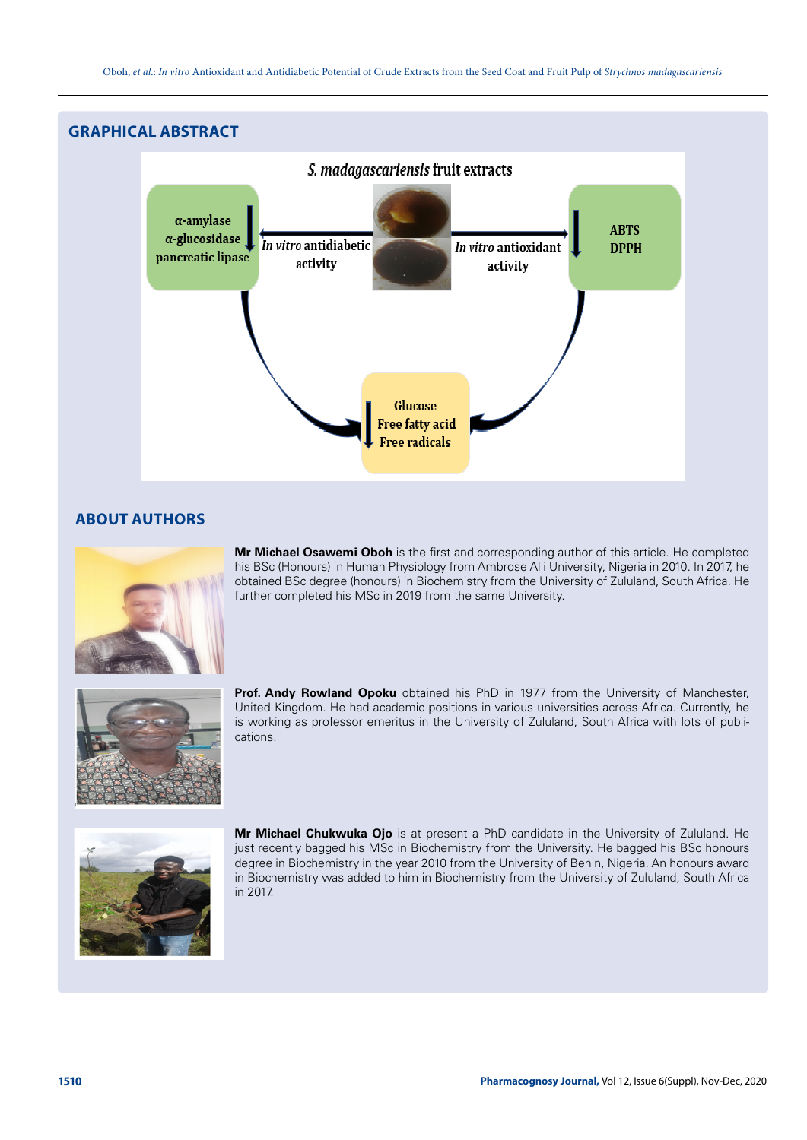

# **ABOUT AUTHORS**



**Mr Michael Osawemi Oboh** is the first and corresponding author of this article. He completed his BSc (Honours) in Human Physiology from Ambrose Alli University, Nigeria in 2010. In 2017, he obtained BSc degree (honours) in Biochemistry from the University of Zululand, South Africa. He further completed his MSc in 2019 from the same University.



**Prof. Andy Rowland Opoku** obtained his PhD in 1977 from the University of Manchester, United Kingdom. He had academic positions in various universities across Africa. Currently, he is working as professor emeritus in the University of Zululand, South Africa with lots of publications.



**Mr Michael Chukwuka Ojo** is at present a PhD candidate in the University of Zululand. He just recently bagged his MSc in Biochemistry from the University. He bagged his BSc honours degree in Biochemistry in the year 2010 from the University of Benin, Nigeria. An honours award in Biochemistry was added to him in Biochemistry from the University of Zululand, South Africa in 2017.